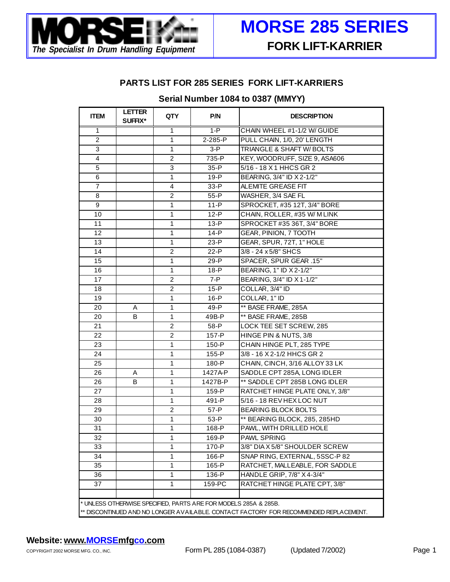

#### **PARTS LIST FOR 285 SERIES FORK LIFT-KARRIERS**

## **Serial Number 1084 to 0387 (MMYY)**

| <b>ITEM</b>                                                                                                                                              | <b>LETTER</b><br>SUFFIX* | QTY            | P/N      | <b>DESCRIPTION</b>             |
|----------------------------------------------------------------------------------------------------------------------------------------------------------|--------------------------|----------------|----------|--------------------------------|
| $\mathbf{1}$                                                                                                                                             |                          | 1              | $1-P$    | CHAIN WHEEL #1-1/2 W/ GUIDE    |
| $\overline{2}$                                                                                                                                           |                          | $\mathbf{1}$   | 2-285-P  | PULL CHAIN, 1/0, 20' LENGTH    |
| 3                                                                                                                                                        |                          | $\mathbf{1}$   | $3-P$    | TRIANGLE & SHAFT W/ BOLTS      |
| 4                                                                                                                                                        |                          | $\overline{c}$ | 735-P    | KEY, WOODRUFF, SIZE 9, ASA606  |
| 5                                                                                                                                                        |                          | 3              | $35 - P$ | 5/16 - 18 X 1 HHCS GR 2        |
| 6                                                                                                                                                        |                          | 1              | $19 - P$ | BEARING, 3/4" ID X 2-1/2"      |
| $\overline{7}$                                                                                                                                           |                          | $\overline{4}$ | 33-P     | ALEMITE GREASE FIT             |
| 8                                                                                                                                                        |                          | $\overline{c}$ | $55 - P$ | WASHER, 3/4 SAE FL             |
| 9                                                                                                                                                        |                          | $\mathbf{1}$   | $11 - P$ | SPROCKET, #35 12T, 3/4" BORE   |
| 10                                                                                                                                                       |                          | $\mathbf{1}$   | $12-P$   | CHAIN, ROLLER, #35 W/ M LINK   |
| 11                                                                                                                                                       |                          | $\mathbf{1}$   | $13 - P$ | SPROCKET #35 36T, 3/4" BORE    |
| 12                                                                                                                                                       |                          | 1              | $14 - P$ | GEAR, PINION, 7 TOOTH          |
| 13                                                                                                                                                       |                          | 1              | $23-P$   | GEAR, SPUR, 72T, 1" HOLE       |
| 14                                                                                                                                                       |                          | $\overline{c}$ | $22-P$   | 3/8 - 24 x 5/8" SHCS           |
| 15                                                                                                                                                       |                          | 1              | $29-P$   | SPACER, SPUR GEAR .15"         |
| 16                                                                                                                                                       |                          | 1              | $18-P$   | BEARING, 1" ID X 2-1/2"        |
| 17                                                                                                                                                       |                          | $\overline{c}$ | $7 - P$  | BEARING, 3/4" ID X 1-1/2"      |
| 18                                                                                                                                                       |                          | 2              | $15-P$   | COLLAR, 3/4" ID                |
| 19                                                                                                                                                       |                          | $\mathbf{1}$   | $16-P$   | COLLAR, 1" ID                  |
| 20                                                                                                                                                       | A                        | 1              | 49-P     | ** BASE FRAME, 285A            |
| 20                                                                                                                                                       | B                        | 1              | 49B-P    | ** BASE FRAME, 285B            |
| 21                                                                                                                                                       |                          | 2              | 58-P     | LOCK TEE SET SCREW, 285        |
| 22                                                                                                                                                       |                          | $\overline{c}$ | 157-P    | HINGE PIN & NUTS, 3/8          |
| 23                                                                                                                                                       |                          | 1              | 150-P    | CHAIN HINGE PLT, 285 TYPE      |
| 24                                                                                                                                                       |                          | 1              | 155-P    | 3/8 - 16 X 2-1/2 HHCS GR 2     |
| 25                                                                                                                                                       |                          | $\mathbf{1}$   | 180-P    | CHAIN, CINCH, 3/16 ALLOY 33 LK |
| 26                                                                                                                                                       | Α                        | $\mathbf{1}$   | 1427A-P  | SADDLE CPT 285A, LONG IDLER    |
| 26                                                                                                                                                       | В                        | $\mathbf{1}$   | 1427B-P  | ** SADDLE CPT 285B LONG IDLER  |
| 27                                                                                                                                                       |                          | $\mathbf{1}$   | 159-P    | RATCHET HINGE PLATE ONLY, 3/8" |
| 28                                                                                                                                                       |                          | $\mathbf{1}$   | 491-P    | 5/16 - 18 REV HEX LOC NUT      |
| 29                                                                                                                                                       |                          | $\overline{c}$ | 57-P     | <b>BEARING BLOCK BOLTS</b>     |
| 30                                                                                                                                                       |                          | $\mathbf{1}$   | 53-P     | ** BEARING BLOCK, 285, 285HD   |
| 31                                                                                                                                                       |                          | $\mathbf{1}$   | 168-P    | PAWL, WITH DRILLED HOLE        |
| 32                                                                                                                                                       |                          | 1              | 169-P    | <b>PAWL SPRING</b>             |
| 33                                                                                                                                                       |                          | 1              | 170-P    | 3/8" DIA X 5/8" SHOULDER SCREW |
| 34                                                                                                                                                       |                          | $\mathbf{1}$   | 166-P    | SNAP RING, EXTERNAL, 5SSC-P 82 |
| 35                                                                                                                                                       |                          | $\mathbf{1}$   | 165-P    | RATCHET, MALLEABLE, FOR SADDLE |
| 36                                                                                                                                                       |                          | $\mathbf{1}$   | 136-P    | HANDLE GRIP, 7/8" X 4-3/4"     |
| 37                                                                                                                                                       |                          | 1              | 159-PC   | RATCHET HINGE PLATE CPT, 3/8"  |
|                                                                                                                                                          |                          |                |          |                                |
| * UNLESS OTHERWISE SPECIFIED, PARTS ARE FOR MODELS 285A & 285B.<br>** DISCONTINUED AND NO LONGER AVAILABLE. CONTACT FACTORY FOR RECOMMENDED REPLACEMENT. |                          |                |          |                                |

## **Website: www.MORSEmfgco.com**